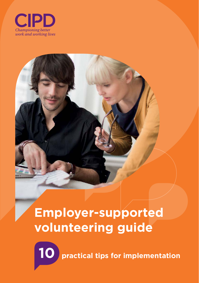





**10 practical tips for implementation**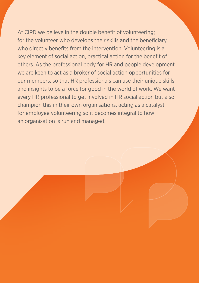At CIPD we believe in the double benefit of volunteering; for the volunteer who develops their skills and the beneficiary who directly benefits from the intervention. Volunteering is a key element of social action, practical action for the benefit of others. As the professional body for HR and people development we are keen to act as a broker of social action opportunities for our members, so that HR professionals can use their unique skills and insights to be a force for good in the world of work. We want every HR professional to get involved in HR social action but also champion this in their own organisations, acting as a catalyst for employee volunteering so it becomes integral to how an organisation is run and managed.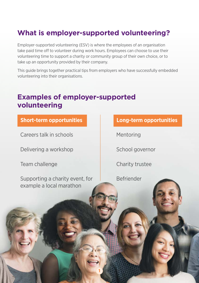### **What is employer-supported volunteering?**

Employer-supported volunteering (ESV) is where the employees of an organisation take paid time off to volunteer during work hours. Employees can choose to use their volunteering time to support a charity or community group of their own choice, or to take up an opportunity provided by their company.

This guide brings together practical tips from employers who have successfully embedded volunteering into their organisations.

**1**

### **Examples of employer-supported volunteering**

### **Short-term opportunities Long-term opportunities**

Careers talk in schools Mentoring

Delivering a workshop

Team challenge

Supporting a charity event, for example a local marathon

School governor

Charity trustee

Befriender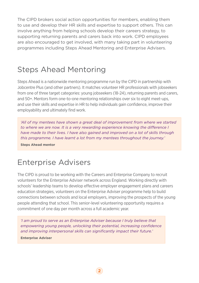The CIPD brokers social action opportunities for members, enabling them to use and develop their HR skills and expertise to support others. This can involve anything from helping schools develop their careers strategy, to supporting returning parents and carers back into work. CIPD employees are also encouraged to get involved, with many taking part in volunteering programmes including Steps Ahead Mentoring and Enterprise Advisers.

### Steps Ahead Mentoring

Steps Ahead is a nationwide mentoring programme run by the CIPD in partnership with Jobcentre Plus (and other partners). It matches volunteer HR professionals with jobseekers from one of three target categories: young jobseekers (18-24), returning parents and carers, and 50+. Mentors form one-to-one mentoring relationships over six to eight meet-ups, and use their skills and expertise in HR to help individuals gain confidence, improve their employability and ultimately find work.

*'All of my mentees have shown a great deal of improvement from where we started to where we are now. It is a very rewarding experience knowing the difference I have made to their lives. I have also gained and improved on a lot of skills through this programme. I have learnt a lot from my mentees throughout the journey.'* 

**Steps Ahead mentor**

### Enterprise Advisers

The CIPD is proud to be working with the Careers and Enterprise Company to recruit volunteers for the Enterprise Adviser network across England. Working directly with schools' leadership teams to develop effective employer engagement plans and careers education strategies, volunteers on the Enterprise Adviser programme help to build connections between schools and local employers, improving the prospects of the young people attending that school. This senior-level volunteering opportunity requires a commitment of one day per month across a full academic year.

*'I am proud to serve as an Enterprise Adviser because I truly believe that empowering young people, unlocking their potential, increasing confidence and improving interpersonal skills can significantly impact their future.'* 

**Enterprise Adviser**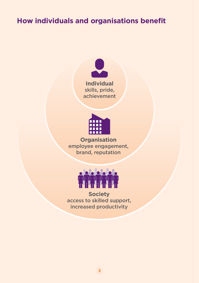### **How individuals and organisations benefit**





**Organisation** employee engagement, brand, reputation



**Society** access to skilled support, increased productivity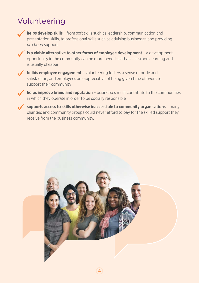### Volunteering



**helps develop skills** – from soft skills such as leadership, communication and presentation skills, to professional skills such as advising businesses and providing *pro bono* support



**is a viable alternative to other forms of employee development** – a development opportunity in the community can be more beneficial than classroom learning and is usually cheaper



**builds employee engagement** - volunteering fosters a sense of pride and satisfaction, and employees are appreciative of being given time off work to support their community



**helps improve brand and reputation** – businesses must contribute to the communities in which they operate in order to be socially responsible

**supports access to skills otherwise inaccessible to community organisations** – many charities and community groups could never afford to pay for the skilled support they receive from the business community.

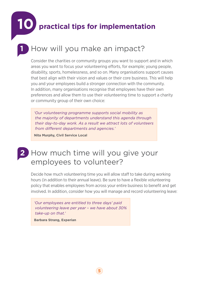**10 practical tips for implementation**

### **1** How will you make an impact?

Consider the charities or community groups you want to support and in which areas you want to focus your volunteering efforts, for example; young people, disability, sports, homelessness, and so on. Many organisations support causes that best align with their vision and values or their core business. This will help you and your employees build a stronger connection with the community. In addition, many organisations recognise that employees have their own preferences and allow them to use their volunteering time to support a charity or community group of their own choice:

*'Our volunteering programme supports social mobility as the majority of departments understand this agenda through their day-to-day work. As a result we attract lots of volunteers from different departments and agencies.'* 

**Nita Murphy, Civil Service Local** 

### **2** How much time will you give your employees to volunteer?

Decide how much volunteering time you will allow staff to take during working hours (in addition to their annual leave). Be sure to have a flexible volunteering policy that enables employees from across your entire business to benefit and get involved. In addition, consider how you will manage and record volunteering leave:

*'Our employees are entitled to three days' paid volunteering leave per year – we have about 30% take-up on that.'* 

**Barbara Strang, Experian**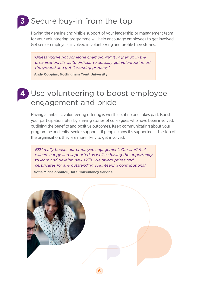# **3** Secure buy-in from the top

Having the genuine and visible support of your leadership or management team for your volunteering programme will help encourage employees to get involved. Get senior employees involved in volunteering and profile their stories:

*'Unless you've got someone championing it higher up in the organisation, it's quite difficult to actually get volunteering off the ground and get it working properly.'*

**Andy Coppins, Nottingham Trent University**

### **4** Use volunteering to boost employee engagement and pride

Having a fantastic volunteering offering is worthless if no one takes part. Boost your participation rates by sharing stories of colleagues who have been involved, outlining the benefits and positive outcomes. Keep communicating about your programme and enlist senior support – if people know it's supported at the top of the organisation, they are more likely to get involved:

*'ESV really boosts our employee engagement. Our staff feel valued, happy and supported as well as having the opportunity to learn and develop new skills. We award prizes and certificates for any outstanding volunteering contributions.'* 

**Sofia Michalopoulou, Tata Consultancy Service**

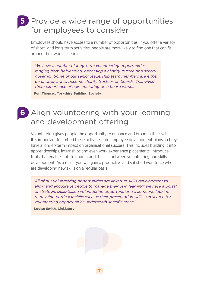### **5** Provide a wide range of opportunities for employees to consider

Employees should have access to a number of opportunities. If you offer a variety of short- and long-term activities, people are more likely to find one that can fit around their work schedule:

*'We have a number of long-term volunteering opportunities ranging from befriending, becoming a charity trustee or a school governor. Some of our senior leadership team members are either on or applying to become charity trustees on boards. This gives them experience of how operating on a board works.'* 

**Peri Thomas, Yorkshire Building Society**

### **6** Align volunteering with your learning and development offering

Volunteering gives people the opportunity to enhance and broaden their skills. It is important to embed these activities into employee development plans so they have a longer-term impact on organisational success. This includes building it into apprenticeships, internships and even work experience placements. Introduce tools that enable staff to understand the link between volunteering and skills development. As a result you will gain a productive and satisfied workforce who are developing new skills on a regular basis:

*'All of our volunteering opportunities are linked to skills development to allow and encourage people to manage their own learning; we have a portal of strategic skills-based volunteering opportunities, so someone looking to develop particular skills such as their presentation skills can search for volunteering opportunities underneath specific areas.'* 

**Louise Smith, Linklaters**

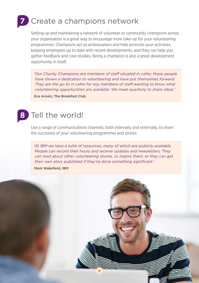# **7** Create a champions network

Setting up and maintaining a network of volunteer or community champions across your organisation is a great way to encourage more take-up for your volunteering programmes. Champions act as ambassadors and help promote your activities, keeping employees up to date with recent developments, and they can help you gather feedback and case studies. Being a champion is also a great development opportunity in itself.

'Our Charity Champions are members of staff situated in cafes; these people *have shown a dedication to volunteering and have put themselves forward. They are the go-to in cafes for any members of staff wanting to know what volunteering opportunities are available. We meet quarterly to share ideas.'*  **Eva Arnaiz, The Breakfast Club**

## **8** Tell the world!

Use a range of communications channels, both internally and externally, to share the successes of your volunteering programmes and stories:

*'At IBM we have a suite of resources, many of which are publicly available. People can record their hours and receive updates and newsletters. They can read about other volunteering stories, to inspire them, or they can get their own story published if they've done something significant.'* 

**Mark Wakefield, IBM**

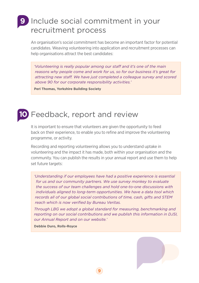### **9** Include social commitment in your recruitment process

An organisation's social commitment has become an important factor for potential candidates. Weaving volunteering into application and recruitment processes can help organisations attract the best candidates:

*'Volunteering is really popular among our staff and it's one of the main reasons why people come and work for us, so for our business it's great for attracting new staff. We have just completed a colleague survey and scored above 90 for our corporate responsibility activities.'* 

**Peri Thomas, Yorkshire Building Society**

#### **10** Feedback, report and review

It is important to ensure that volunteers are given the opportunity to feed back on their experience, to enable you to refine and improve the volunteering programme, or activity.

Recording and reporting volunteering allows you to understand uptake in volunteering and the impact it has made, both within your organisation and the community. You can publish the results in your annual report and use them to help set future targets:

*' Understanding if our employees have had a positive experience is essential for us and our community partners. We use survey monkey to evaluate the success of our team challenges and hold one-to-one discussions with individuals aligned to long-term opportunities. We have a data tool which records all of our global social contributions of time, cash, gifts and STEM reach which is now verified by Bureau Veritas.* 

*Through LBG we adopt a global standard for measuring, benchmarking and reporting on our social contributions and we publish this information in DJSI, our Annual Report and on our website.'* 

**9**

**Debbie Duro, Rolls-Royce**